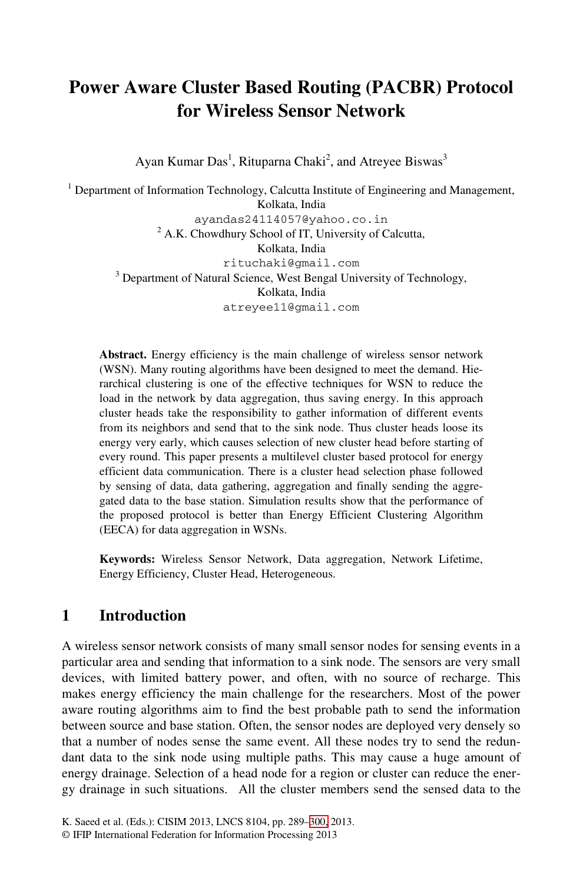# **Power Aware Cluster Based Routing (PACBR) Protocol for Wireless Sensor Network**

Ayan Kumar Das<sup>1</sup>, Rituparna Chaki<sup>2</sup>, and Atreyee Biswas<sup>3</sup>

<sup>1</sup> Department of Information Technology, Calcutta Institute of Engineering and Management, Kolkata, India ayandas24114057@yahoo.co.in  $2$  A.K. Chowdhury School of IT, University of Calcutta, Kolkata, India rituchaki@gmail.com <sup>3</sup> Department of Natural Science, West Bengal University of Technology, Kolkata, India atreyee11@gmail.com

Abstract. Energy efficiency is the main challenge of wireless sensor network (WSN). Many routing algorithms have been designed to meet the demand. Hierarchical clustering is one of the effective techniques for WSN to reduce the load in the network by data aggregation, thus saving energy. In this approach cluster heads take the responsibility to gather information of different events from its neighbors and send that to the sink node. Thus cluster heads loose its energy very early, which causes selection of new cluster head before starting of every round. This paper presents a multilevel cluster based protocol for energy efficient data communication. There is a cluster head selection phase followed by sensing of data, data gathering, aggregation and finally sending the aggregated data to the base station. Simulation results show that the performance of the proposed protocol is better than Energy Efficient Clustering Algorithm (EECA) for data aggregation in WSNs.

**Keywords:** Wireless Sensor Network, Data aggregation, Network Lifetime, Energy Efficiency, Cluster Head, Heterogeneous.

### **1 Introduction**

A wireless sensor network consists of many small sensor nodes for sensing events in a particular area and sending that information to a sink node. The sensors are very small devices, with limited battery power, and often, with no source of recharge. This makes energy efficiency t[he m](#page-11-0)ain challenge for the researchers. Most of the power aware routing algorithms aim to find the best probable path to send the information between source and base station. Often, the sensor nodes are deployed very densely so that a number of nodes sense the same event. All these nodes try to send the redundant data to the sink node using multiple paths. This may cause a huge amount of energy drainage. Selection of a head node for a region or cluster can reduce the energy drainage in such situations. All the cluster members send the sensed data to the

K. Saeed et al. (Eds.): CISIM 2013, LNCS 8104, pp. 289–300, 2013.

<sup>©</sup> IFIP International Federation for Information Processing 2013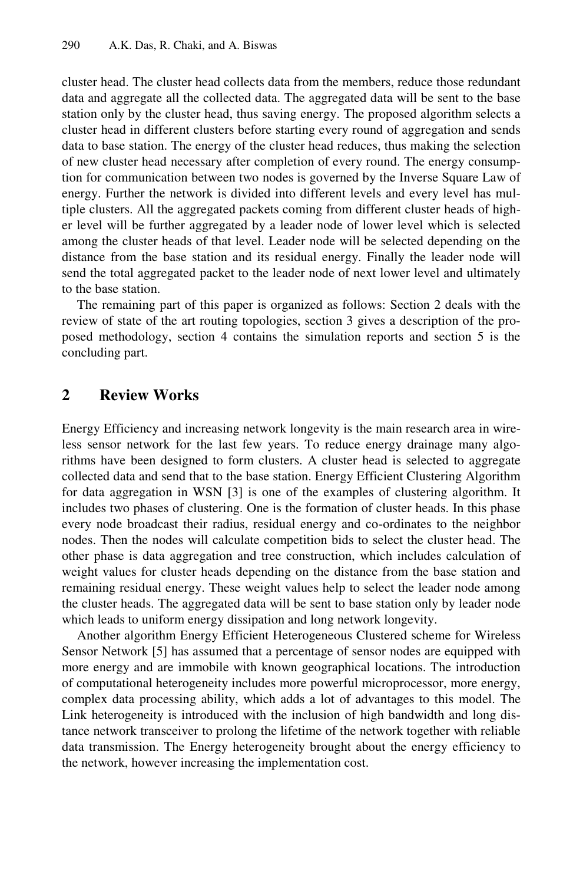cluster head. The cluster head collects data from the members, reduce those redundant data and aggregate all the collected data. The aggregated data will be sent to the base station only by the cluster head, thus saving energy. The proposed algorithm selects a cluster head in different clusters before starting every round of aggregation and sends data to base station. The energy of the cluster head reduces, thus making the selection of new cluster head necessary after completion of every round. The energy consumption for communication between two nodes is governed by the Inverse Square Law of energy. Further the network is divided into different levels and every level has multiple clusters. All the aggregated packets coming from different cluster heads of higher level will be further aggregated by a leader node of lower level which is selected among the cluster heads of that level. Leader node will be selected depending on the distance from the base station and its residual energy. Finally the leader node will send the total aggregated packet to the leader node of next lower level and ultimately to the base station.

The remaining part of this paper is organized as follows: Section 2 deals with the review of state of the art routing topologies, section 3 gives a description of the proposed methodology, section 4 contains the simulation reports and section 5 is the concluding part.

## **2 Review Works**

Energy Efficiency and increasing network longevity is the main research area in wireless sensor network for the last few years. To reduce energy drainage many algorithms have been designed to form clusters. A cluster head is selected to aggregate collected data and send that to the base station. Energy Efficient Clustering Algorithm for data aggregation in WSN [3] is one of the examples of clustering algorithm. It includes two phases of clustering. One is the formation of cluster heads. In this phase every node broadcast their radius, residual energy and co-ordinates to the neighbor nodes. Then the nodes will calculate competition bids to select the cluster head. The other phase is data aggregation and tree construction, which includes calculation of weight values for cluster heads depending on the distance from the base station and remaining residual energy. These weight values help to select the leader node among the cluster heads. The aggregated data will be sent to base station only by leader node which leads to uniform energy dissipation and long network longevity.

Another algorithm Energy Efficient Heterogeneous Clustered scheme for Wireless Sensor Network [5] has assumed that a percentage of sensor nodes are equipped with more energy and are immobile with known geographical locations. The introduction of computational heterogeneity includes more powerful microprocessor, more energy, complex data processing ability, which adds a lot of advantages to this model. The Link heterogeneity is introduced with the inclusion of high bandwidth and long distance network transceiver to prolong the lifetime of the network together with reliable data transmission. The Energy heterogeneity brought about the energy efficiency to the network, however increasing the implementation cost.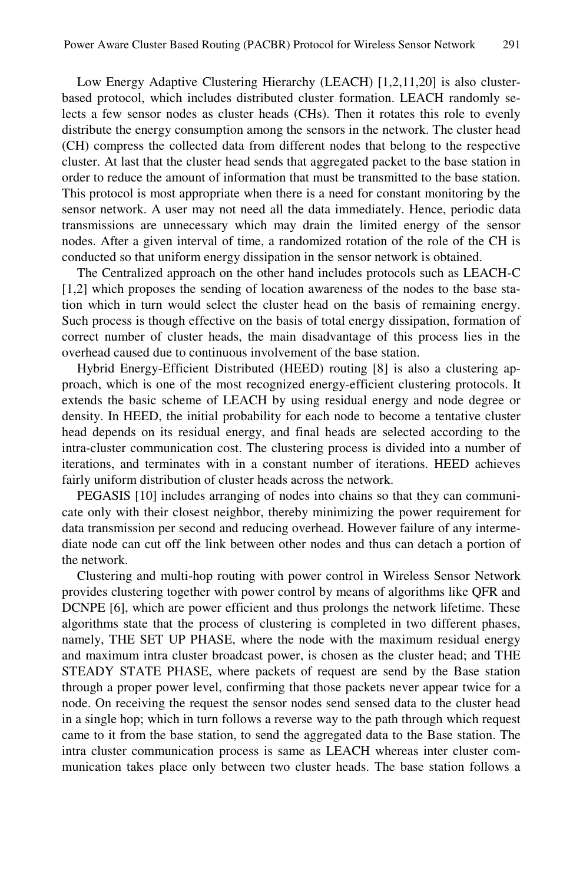Low Energy Adaptive Clustering Hierarchy (LEACH) [1,2,11,20] is also clusterbased protocol, which includes distributed cluster formation. LEACH randomly selects a few sensor nodes as cluster heads (CHs). Then it rotates this role to evenly distribute the energy consumption among the sensors in the network. The cluster head (CH) compress the collected data from different nodes that belong to the respective cluster. At last that the cluster head sends that aggregated packet to the base station in order to reduce the amount of information that must be transmitted to the base station. This protocol is most appropriate when there is a need for constant monitoring by the sensor network. A user may not need all the data immediately. Hence, periodic data transmissions are unnecessary which may drain the limited energy of the sensor nodes. After a given interval of time, a randomized rotation of the role of the CH is conducted so that uniform energy dissipation in the sensor network is obtained.

The Centralized approach on the other hand includes protocols such as LEACH-C [1,2] which proposes the sending of location awareness of the nodes to the base station which in turn would select the cluster head on the basis of remaining energy. Such process is though effective on the basis of total energy dissipation, formation of correct number of cluster heads, the main disadvantage of this process lies in the overhead caused due to continuous involvement of the base station.

Hybrid Energy-Efficient Distributed (HEED) routing [8] is also a clustering approach, which is one of the most recognized energy-efficient clustering protocols. It extends the basic scheme of LEACH by using residual energy and node degree or density. In HEED, the initial probability for each node to become a tentative cluster head depends on its residual energy, and final heads are selected according to the intra-cluster communication cost. The clustering process is divided into a number of iterations, and terminates with in a constant number of iterations. HEED achieves fairly uniform distribution of cluster heads across the network.

PEGASIS [10] includes arranging of nodes into chains so that they can communicate only with their closest neighbor, thereby minimizing the power requirement for data transmission per second and reducing overhead. However failure of any intermediate node can cut off the link between other nodes and thus can detach a portion of the network.

Clustering and multi-hop routing with power control in Wireless Sensor Network provides clustering together with power control by means of algorithms like QFR and DCNPE [6], which are power efficient and thus prolongs the network lifetime. These algorithms state that the process of clustering is completed in two different phases, namely, THE SET UP PHASE, where the node with the maximum residual energy and maximum intra cluster broadcast power, is chosen as the cluster head; and THE STEADY STATE PHASE, where packets of request are send by the Base station through a proper power level, confirming that those packets never appear twice for a node. On receiving the request the sensor nodes send sensed data to the cluster head in a single hop; which in turn follows a reverse way to the path through which request came to it from the base station, to send the aggregated data to the Base station. The intra cluster communication process is same as LEACH whereas inter cluster communication takes place only between two cluster heads. The base station follows a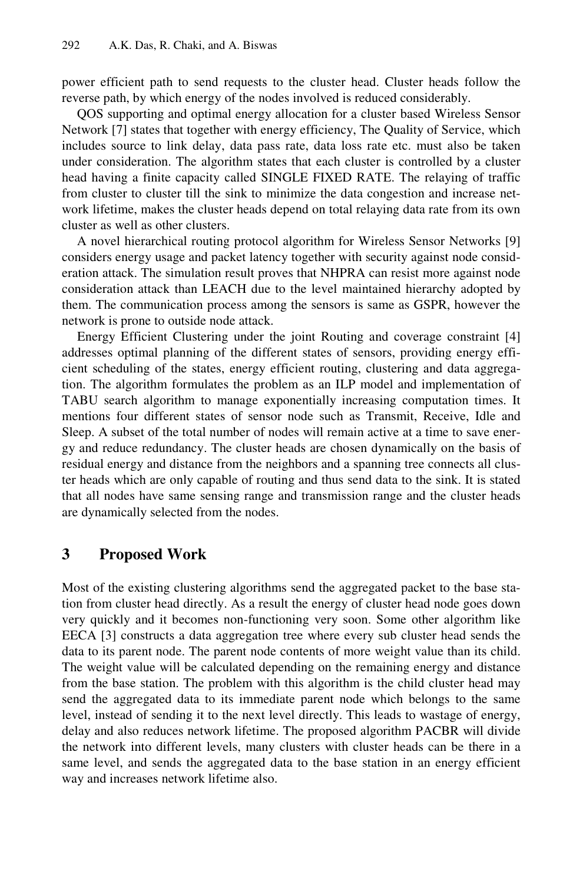power efficient path to send requests to the cluster head. Cluster heads follow the reverse path, by which energy of the nodes involved is reduced considerably.

QOS supporting and optimal energy allocation for a cluster based Wireless Sensor Network [7] states that together with energy efficiency, The Quality of Service, which includes source to link delay, data pass rate, data loss rate etc. must also be taken under consideration. The algorithm states that each cluster is controlled by a cluster head having a finite capacity called SINGLE FIXED RATE. The relaying of traffic from cluster to cluster till the sink to minimize the data congestion and increase network lifetime, makes the cluster heads depend on total relaying data rate from its own cluster as well as other clusters.

A novel hierarchical routing protocol algorithm for Wireless Sensor Networks [9] considers energy usage and packet latency together with security against node consideration attack. The simulation result proves that NHPRA can resist more against node consideration attack than LEACH due to the level maintained hierarchy adopted by them. The communication process among the sensors is same as GSPR, however the network is prone to outside node attack.

Energy Efficient Clustering under the joint Routing and coverage constraint [4] addresses optimal planning of the different states of sensors, providing energy efficient scheduling of the states, energy efficient routing, clustering and data aggregation. The algorithm formulates the problem as an ILP model and implementation of TABU search algorithm to manage exponentially increasing computation times. It mentions four different states of sensor node such as Transmit, Receive, Idle and Sleep. A subset of the total number of nodes will remain active at a time to save energy and reduce redundancy. The cluster heads are chosen dynamically on the basis of residual energy and distance from the neighbors and a spanning tree connects all cluster heads which are only capable of routing and thus send data to the sink. It is stated that all nodes have same sensing range and transmission range and the cluster heads are dynamically selected from the nodes.

## **3 Proposed Work**

Most of the existing clustering algorithms send the aggregated packet to the base station from cluster head directly. As a result the energy of cluster head node goes down very quickly and it becomes non-functioning very soon. Some other algorithm like EECA [3] constructs a data aggregation tree where every sub cluster head sends the data to its parent node. The parent node contents of more weight value than its child. The weight value will be calculated depending on the remaining energy and distance from the base station. The problem with this algorithm is the child cluster head may send the aggregated data to its immediate parent node which belongs to the same level, instead of sending it to the next level directly. This leads to wastage of energy, delay and also reduces network lifetime. The proposed algorithm PACBR will divide the network into different levels, many clusters with cluster heads can be there in a same level, and sends the aggregated data to the base station in an energy efficient way and increases network lifetime also.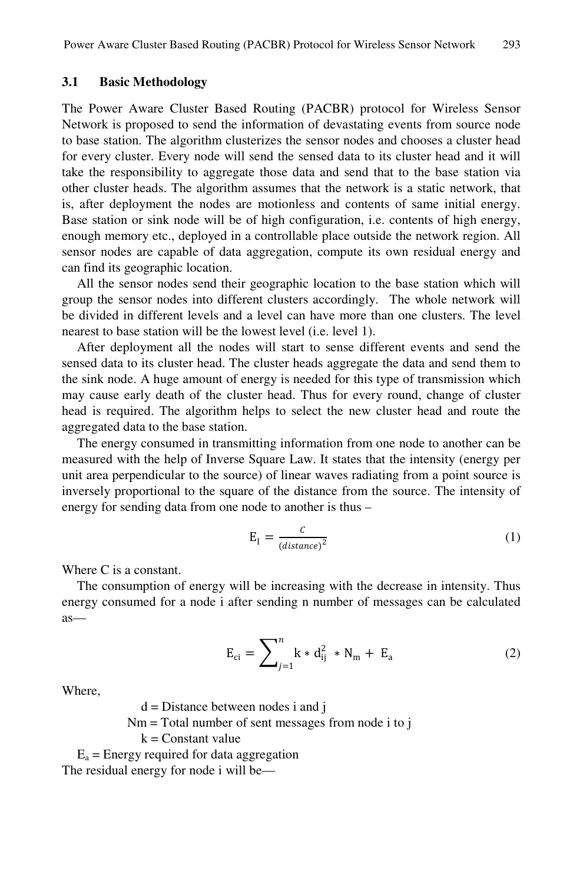#### **3.1 Basic Methodology**

The Power Aware Cluster Based Routing (PACBR) protocol for Wireless Sensor Network is proposed to send the information of devastating events from source node to base station. The algorithm clusterizes the sensor nodes and chooses a cluster head for every cluster. Every node will send the sensed data to its cluster head and it will take the responsibility to aggregate those data and send that to the base station via other cluster heads. The algorithm assumes that the network is a static network, that is, after deployment the nodes are motionless and contents of same initial energy. Base station or sink node will be of high configuration, i.e. contents of high energy, enough memory etc., deployed in a controllable place outside the network region. All sensor nodes are capable of data aggregation, compute its own residual energy and can find its geographic location.

All the sensor nodes send their geographic location to the base station which will group the sensor nodes into different clusters accordingly. The whole network will be divided in different levels and a level can have more than one clusters. The level nearest to base station will be the lowest level (i.e. level 1).

After deployment all the nodes will start to sense different events and send the sensed data to its cluster head. The cluster heads aggregate the data and send them to the sink node. A huge amount of energy is needed for this type of transmission which may cause early death of the cluster head. Thus for every round, change of cluster head is required. The algorithm helps to select the new cluster head and route the aggregated data to the base station.

The energy consumed in transmitting information from one node to another can be measured with the help of Inverse Square Law. It states that the intensity (energy per unit area perpendicular to the source) of linear waves radiating from a point source is inversely proportional to the square of the distance from the source. The intensity of energy for sending data from one node to another is thus –

$$
E_{I} = \frac{c}{(distance)^{2}}
$$
 (1)

Where C is a constant.

The consumption of energy will be increasing with the decrease in intensity. Thus energy consumed for a node i after sending n number of messages can be calculated as—

$$
E_{ci} = \sum_{j=1}^{n} k * d_{ij}^{2} * N_{m} + E_{a}
$$
 (2)

Where,

 d = Distance between nodes i and j Nm = Total number of sent messages from node i to j  $k =$ Constant value

 $E_a$  = Energy required for data aggregation The residual energy for node i will be—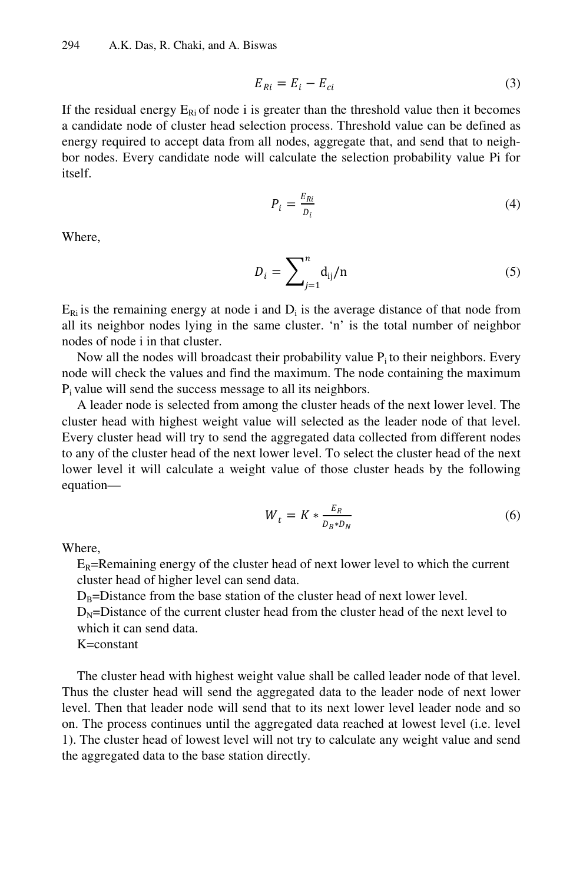$$
E_{Ri} = E_i - E_{ci} \tag{3}
$$

If the residual energy  $E_{\text{Ri}}$  of node i is greater than the threshold value then it becomes a candidate node of cluster head selection process. Threshold value can be defined as energy required to accept data from all nodes, aggregate that, and send that to neighbor nodes. Every candidate node will calculate the selection probability value Pi for itself.

$$
P_i = \frac{E_{Ri}}{D_i} \tag{4}
$$

Where,

$$
D_i = \sum_{j=1}^{n} \mathbf{d}_{ij} / \mathbf{n} \tag{5}
$$

 $E_{\text{Ri}}$  is the remaining energy at node i and  $D_i$  is the average distance of that node from all its neighbor nodes lying in the same cluster. 'n' is the total number of neighbor nodes of node i in that cluster.

Now all the nodes will broadcast their probability value  $P_i$  to their neighbors. Every node will check the values and find the maximum. The node containing the maximum Pi value will send the success message to all its neighbors.

A leader node is selected from among the cluster heads of the next lower level. The cluster head with highest weight value will selected as the leader node of that level. Every cluster head will try to send the aggregated data collected from different nodes to any of the cluster head of the next lower level. To select the cluster head of the next lower level it will calculate a weight value of those cluster heads by the following equation—

$$
W_t = K * \frac{E_R}{D_B * D_N} \tag{6}
$$

Where,

 $E_R$ =Remaining energy of the cluster head of next lower level to which the current cluster head of higher level can send data.

 $D_B$ =Distance from the base station of the cluster head of next lower level.

 $D_N$ =Distance of the current cluster head from the cluster head of the next level to which it can send data.

K=constant

The cluster head with highest weight value shall be called leader node of that level. Thus the cluster head will send the aggregated data to the leader node of next lower level. Then that leader node will send that to its next lower level leader node and so on. The process continues until the aggregated data reached at lowest level (i.e. level 1). The cluster head of lowest level will not try to calculate any weight value and send the aggregated data to the base station directly.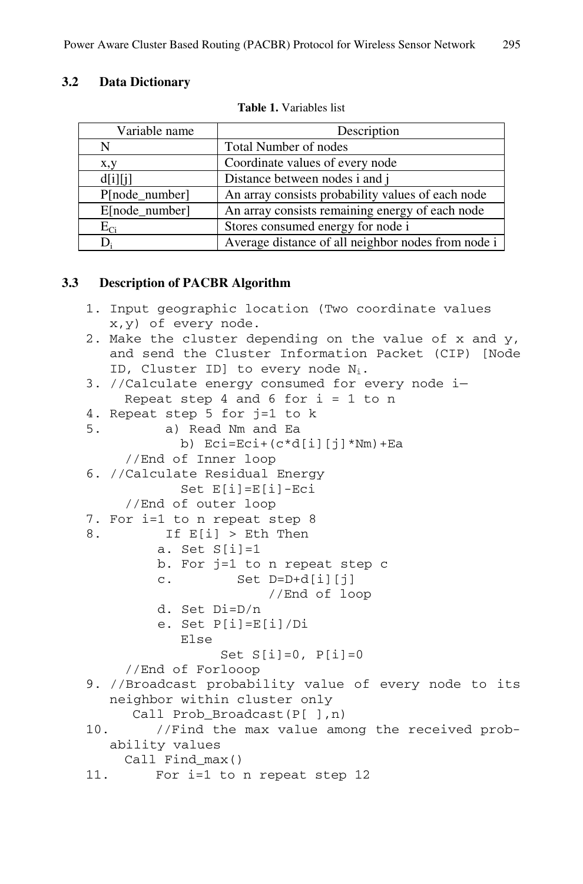#### **3.2 Data Dictionary**

|  | <b>Table 1.</b> Variables list |  |
|--|--------------------------------|--|
|--|--------------------------------|--|

| Variable name  | Description                                        |  |
|----------------|----------------------------------------------------|--|
| N              | <b>Total Number of nodes</b>                       |  |
| x,y            | Coordinate values of every node                    |  |
| d[i][j]        | Distance between nodes i and j                     |  |
| P[node_number] | An array consists probability values of each node  |  |
| E[node_number] | An array consists remaining energy of each node    |  |
| $E_{Ci}$       | Stores consumed energy for node i                  |  |
|                | Average distance of all neighbor nodes from node i |  |

#### **3.3 Description of PACBR Algorithm**

```
1. Input geographic location (Two coordinate values 
   x,y) of every node.
```

```
2. Make the cluster depending on the value of x and y, 
   and send the Cluster Information Packet (CIP) [Node 
   ID, Cluster ID] to every node N_i.
```

```
3. //Calculate energy consumed for every node i— 
    Repeat step 4 and 6 for i = 1 to n
4. Repeat step 5 for j=1 to k
```

```
5. a) Read Nm and Ea
```

```
b) Eci=Eci+(c*d[i][i]*Nm)+Ea
```

```
//End of Inner loop
```

```
6. //Calculate Residual Energy 
             Set E[i]=E[i]-Eci
```

```
//End of outer loop
```

```
7. For i=1 to n repeat step 8
```

```
8. If E[i] > Eth Then
```

```
a. Set S[i]=1
```

```
b. For j=1 to n repeat step c
```

```
c. Set \ D=D+d[i][i]
```

```
 //End of loop
```

```
d. Set Di=D/n
```

```
e. Set P[i]=E[i]/Di 
    Else
```

```
Set S[i]=0, P[i]=0
```

```
//End of Forlooop
```
- 9. //Broadcast probability value of every node to its neighbor within cluster only
	- Call Prob Broadcast(P[ ],n)
- 10. //Find the max value among the received probability values
	- Call Find max()
- 11. For i=1 to n repeat step 12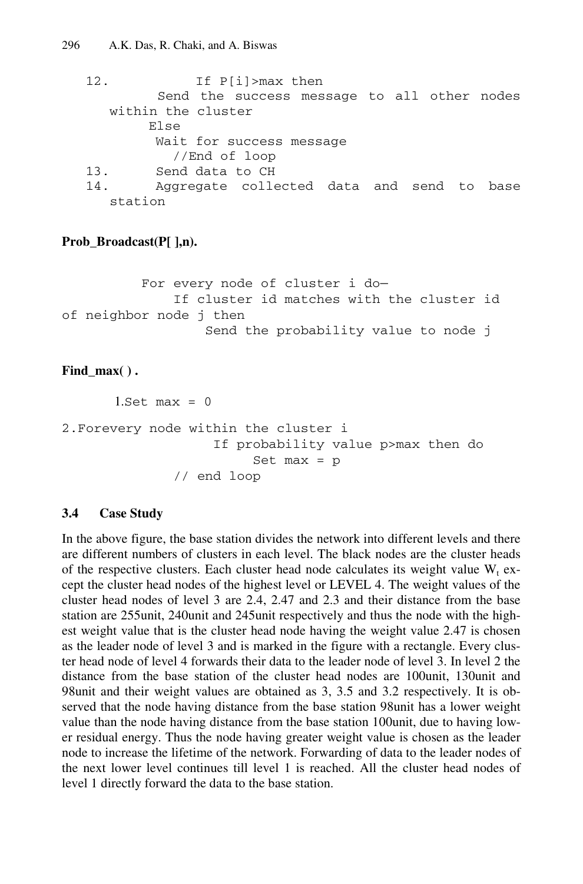12. If P[i]>max then Send the success message to all other nodes within the cluster Else Wait for success message //End of loop 13. Send data to CH 14. Aggregate collected data and send to base station

### **Prob\_Broadcast(P[ ],n).**

```
 For every node of cluster i do— 
                If cluster id matches with the cluster id 
of neighbor node j then 
                    Send the probability value to node j
```
### Find max().

```
1. Set max = 0
```

```
2.Forevery node within the cluster i 
                     If probability value p>max then do 
                         Set max = p // end loop
```
### **3.4 Case Study**

In the above figure, the base station divides the network into different levels and there are different numbers of clusters in each level. The black nodes are the cluster heads of the respective clusters. Each cluster head node calculates its weight value  $W_t$  except the cluster head nodes of the highest level or LEVEL 4. The weight values of the cluster head nodes of level 3 are 2.4, 2.47 and 2.3 and their distance from the base station are 255unit, 240unit and 245unit respectively and thus the node with the highest weight value that is the cluster head node having the weight value 2.47 is chosen as the leader node of level 3 and is marked in the figure with a rectangle. Every cluster head node of level 4 forwards their data to the leader node of level 3. In level 2 the distance from the base station of the cluster head nodes are 100unit, 130unit and 98unit and their weight values are obtained as 3, 3.5 and 3.2 respectively. It is observed that the node having distance from the base station 98unit has a lower weight value than the node having distance from the base station 100unit, due to having lower residual energy. Thus the node having greater weight value is chosen as the leader node to increase the lifetime of the network. Forwarding of data to the leader nodes of the next lower level continues till level 1 is reached. All the cluster head nodes of level 1 directly forward the data to the base station.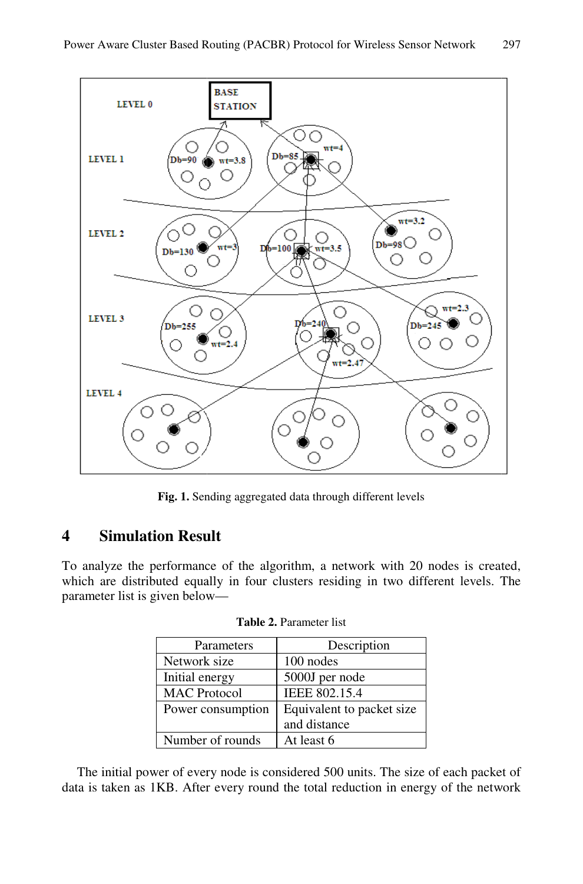

Fig. 1. Sending aggregated data through different levels

# 4 **Simulation Result**

To analyze the performance of the algorithm, a network with 20 nodes is created, which are distributed equally in four clusters residing in two different levels. The parameter list is given below—

| Parameters          | Description               |
|---------------------|---------------------------|
| Network size        | 100 nodes                 |
| Initial energy      | 5000J per node            |
| <b>MAC</b> Protocol | IEEE 802.15.4             |
| Power consumption   | Equivalent to packet size |
|                     | and distance              |
| Number of rounds    | At least 6                |

The initial power of every node is considered 500 units. The size of each packet of data is taken as 1KB. After every round the total reduction in energy of the network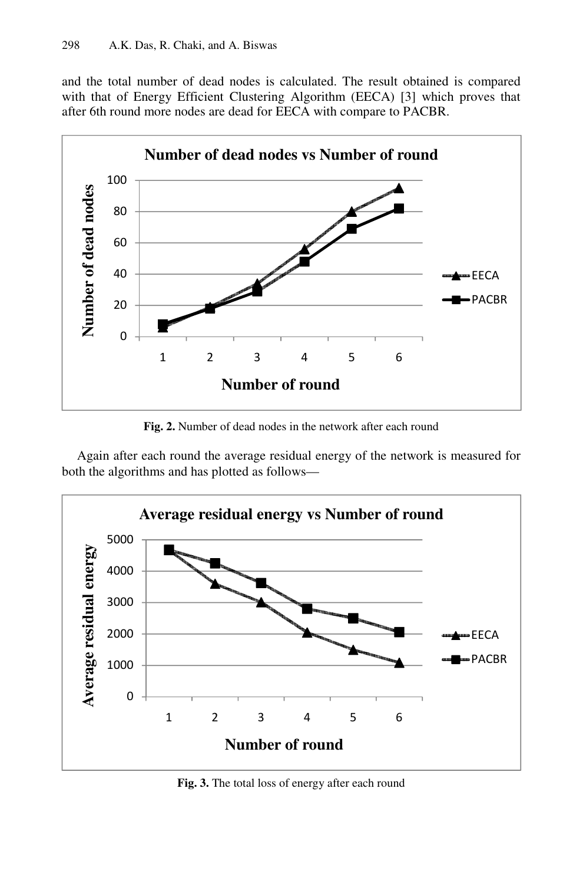and the total number of dead nodes is calculated. The result obtained is compared with that of Energy Efficient Clustering Algorithm (EECA) [3] which proves that after 6th round more nodes are dead for EECA with compare to PACBR.



**Fig. 2.** Number of dead nodes in the network after each round

Again after each round the average residual energy of the network is measured for both the algorithms and has plotted as follows—



**Fig. 3.** The total loss of energy after each round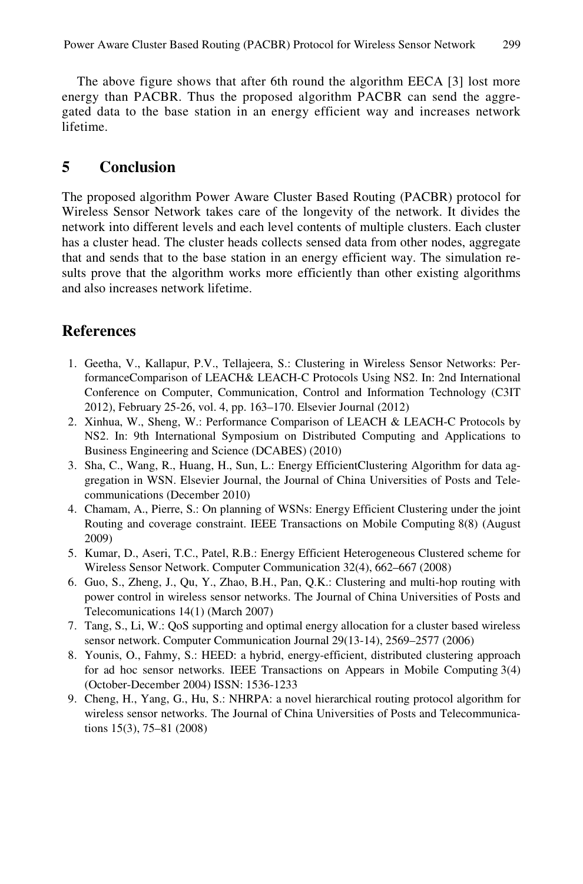The above figure shows that after 6th round the algorithm EECA [3] lost more energy than PACBR. Thus the proposed algorithm PACBR can send the aggregated data to the base station in an energy efficient way and increases network lifetime.

## **5 Conclusion**

The proposed algorithm Power Aware Cluster Based Routing (PACBR) protocol for Wireless Sensor Network takes care of the longevity of the network. It divides the network into different levels and each level contents of multiple clusters. Each cluster has a cluster head. The cluster heads collects sensed data from other nodes, aggregate that and sends that to the base station in an energy efficient way. The simulation results prove that the algorithm works more efficiently than other existing algorithms and also increases network lifetime.

# **References**

- 1. Geetha, V., Kallapur, P.V., Tellajeera, S.: Clustering in Wireless Sensor Networks: PerformanceComparison of LEACH& LEACH-C Protocols Using NS2. In: 2nd International Conference on Computer, Communication, Control and Information Technology (C3IT 2012), February 25-26, vol. 4, pp. 163–170. Elsevier Journal (2012)
- 2. Xinhua, W., Sheng, W.: Performance Comparison of LEACH & LEACH-C Protocols by NS2. In: 9th International Symposium on Distributed Computing and Applications to Business Engineering and Science (DCABES) (2010)
- 3. Sha, C., Wang, R., Huang, H., Sun, L.: Energy EfficientClustering Algorithm for data aggregation in WSN. Elsevier Journal, the Journal of China Universities of Posts and Telecommunications (December 2010)
- 4. Chamam, A., Pierre, S.: On planning of WSNs: Energy Efficient Clustering under the joint Routing and coverage constraint. IEEE Transactions on Mobile Computing 8(8) (August 2009)
- 5. Kumar, D., Aseri, T.C., Patel, R.B.: Energy Efficient Heterogeneous Clustered scheme for Wireless Sensor Network. Computer Communication 32(4), 662–667 (2008)
- 6. Guo, S., Zheng, J., Qu, Y., Zhao, B.H., Pan, Q.K.: Clustering and multi-hop routing with power control in wireless sensor networks. The Journal of China Universities of Posts and Telecomunications 14(1) (March 2007)
- 7. Tang, S., Li, W.: QoS supporting and optimal energy allocation for a cluster based wireless sensor network. Computer Communication Journal 29(13-14), 2569–2577 (2006)
- 8. Younis, O., Fahmy, S.: HEED: a hybrid, energy-efficient, distributed clustering approach for ad hoc sensor networks. IEEE Transactions on Appears in Mobile Computing 3(4) (October-December 2004) ISSN: 1536-1233
- 9. Cheng, H., Yang, G., Hu, S.: NHRPA: a novel hierarchical routing protocol algorithm for wireless sensor networks. The Journal of China Universities of Posts and Telecommunications 15(3), 75–81 (2008)